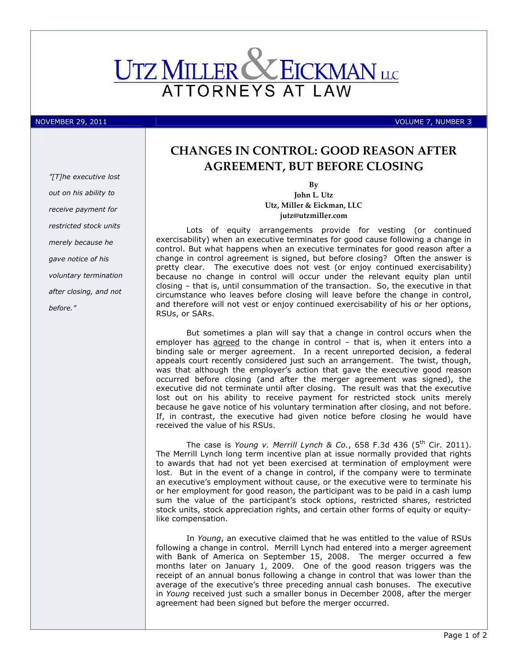

"[T]he executive lost out on his ability to receive payment for restricted stock units merely because he gave notice of his voluntary termination after closing, and not before."

# CHANGES IN CONTROL: GOOD REASON AFTER AGREEMENT, BUT BEFORE CLOSING

By John L. Utz Utz, Miller & Eickman, LLC jutz@utzmiller.com

Lots of equity arrangements provide for vesting (or continued exercisability) when an executive terminates for good cause following a change in control. But what happens when an executive terminates for good reason after a change in control agreement is signed, but before closing? Often the answer is pretty clear. The executive does not vest (or enjoy continued exercisability) because no change in control will occur under the relevant equity plan until closing – that is, until consummation of the transaction. So, the executive in that circumstance who leaves before closing will leave before the change in control, and therefore will not vest or enjoy continued exercisability of his or her options, RSUs, or SARs.

But sometimes a plan will say that a change in control occurs when the employer has agreed to the change in control – that is, when it enters into a binding sale or merger agreement. In a recent unreported decision, a federal appeals court recently considered just such an arrangement. The twist, though, was that although the employer's action that gave the executive good reason occurred before closing (and after the merger agreement was signed), the executive did not terminate until after closing. The result was that the executive lost out on his ability to receive payment for restricted stock units merely because he gave notice of his voluntary termination after closing, and not before. If, in contrast, the executive had given notice before closing he would have received the value of his RSUs.

The case is Young v. Merrill Lynch & Co., 658 F.3d 436 (5<sup>th</sup> Cir. 2011). The Merrill Lynch long term incentive plan at issue normally provided that rights to awards that had not yet been exercised at termination of employment were lost. But in the event of a change in control, if the company were to terminate an executive's employment without cause, or the executive were to terminate his or her employment for good reason, the participant was to be paid in a cash lump sum the value of the participant's stock options, restricted shares, restricted stock units, stock appreciation rights, and certain other forms of equity or equitylike compensation.

In Young, an executive claimed that he was entitled to the value of RSUs following a change in control. Merrill Lynch had entered into a merger agreement with Bank of America on September 15, 2008. The merger occurred a few months later on January 1, 2009. One of the good reason triggers was the receipt of an annual bonus following a change in control that was lower than the average of the executive's three preceding annual cash bonuses. The executive in Young received just such a smaller bonus in December 2008, after the merger agreement had been signed but before the merger occurred.

NOVEMBER 29, 2011 **VOLUME 7, NUMBER 3**